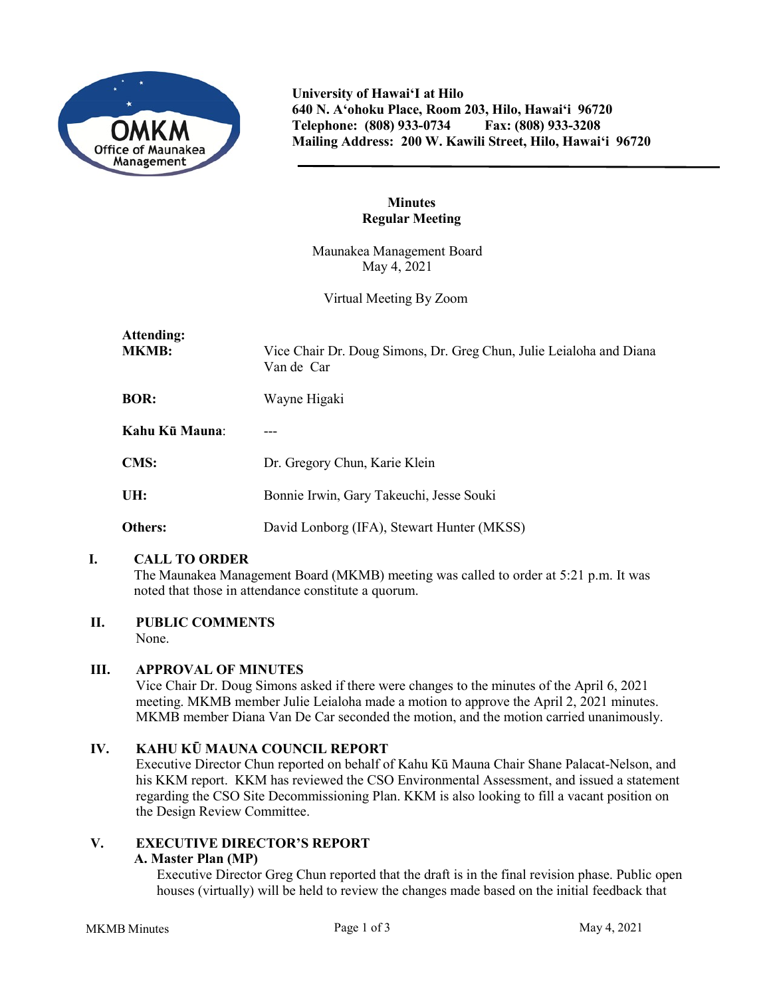

**University of Hawai'I at Hilo 640 N. A'ohoku Place, Room 203, Hilo, Hawai'i 96720 Telephone: (808) 933-0734 Fax: (808) 933-3208 Mailing Address: 200 W. Kawili Street, Hilo, Hawai'i 96720**

## **Minutes Regular Meeting**

Maunakea Management Board May 4, 2021

Virtual Meeting By Zoom

| Attending:<br><b>MKMB:</b><br>Van de Car | Vice Chair Dr. Doug Simons, Dr. Greg Chun, Julie Leialoha and Diana |
|------------------------------------------|---------------------------------------------------------------------|
| <b>BOR:</b><br>Wayne Higaki              |                                                                     |
| Kahu Kū Mauna:                           |                                                                     |
| <b>CMS:</b>                              | Dr. Gregory Chun, Karie Klein                                       |
| UH:                                      | Bonnie Irwin, Gary Takeuchi, Jesse Souki                            |
| <b>Others:</b>                           | David Lonborg (IFA), Stewart Hunter (MKSS)                          |

# **I. CALL TO ORDER**

The Maunakea Management Board (MKMB) meeting was called to order at 5:21 p.m. It was noted that those in attendance constitute a quorum.

## **II. PUBLIC COMMENTS**

None.

## **III. APPROVAL OF MINUTES**

Vice Chair Dr. Doug Simons asked if there were changes to the minutes of the April 6, 2021 meeting. MKMB member Julie Leialoha made a motion to approve the April 2, 2021 minutes. MKMB member Diana Van De Car seconded the motion, and the motion carried unanimously.

# **IV. KAHU KŪ MAUNA COUNCIL REPORT**

Executive Director Chun reported on behalf of Kahu Kū Mauna Chair Shane Palacat-Nelson, and his KKM report. KKM has reviewed the CSO Environmental Assessment, and issued a statement regarding the CSO Site Decommissioning Plan. KKM is also looking to fill a vacant position on the Design Review Committee.

# **V. EXECUTIVE DIRECTOR'S REPORT**

## **A. Master Plan (MP)**

Executive Director Greg Chun reported that the draft is in the final revision phase. Public open houses (virtually) will be held to review the changes made based on the initial feedback that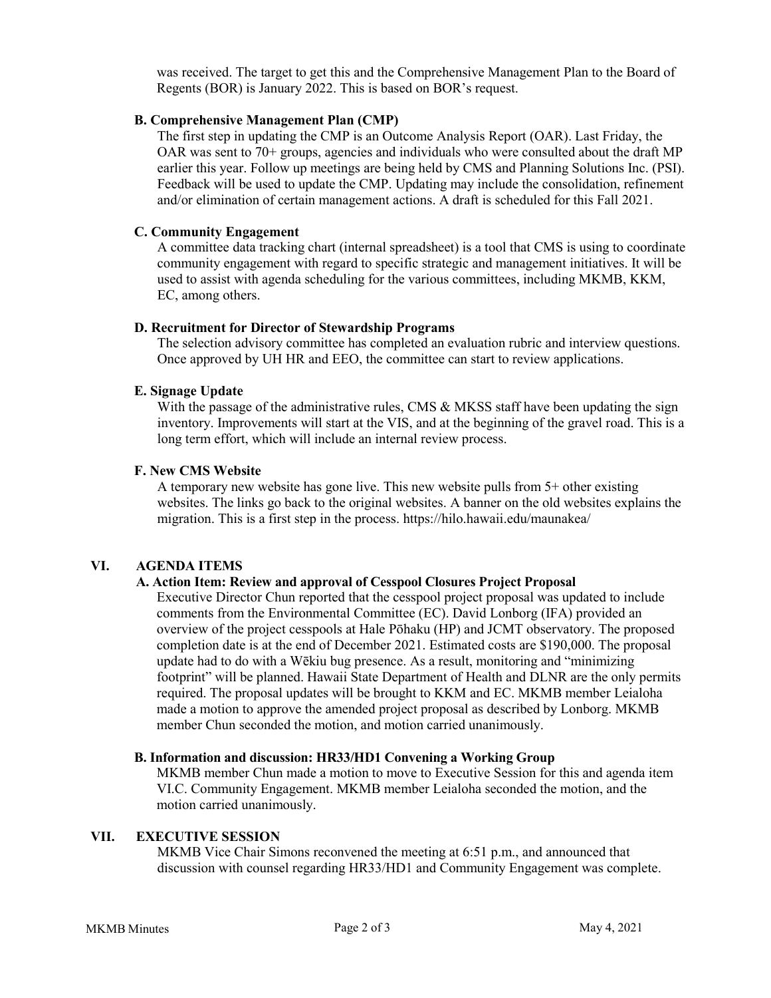was received. The target to get this and the Comprehensive Management Plan to the Board of Regents (BOR) is January 2022. This is based on BOR's request.

## **B. Comprehensive Management Plan (CMP)**

The first step in updating the CMP is an Outcome Analysis Report (OAR). Last Friday, the OAR was sent to 70+ groups, agencies and individuals who were consulted about the draft MP earlier this year. Follow up meetings are being held by CMS and Planning Solutions Inc. (PSI). Feedback will be used to update the CMP. Updating may include the consolidation, refinement and/or elimination of certain management actions. A draft is scheduled for this Fall 2021.

## **C. Community Engagement**

A committee data tracking chart (internal spreadsheet) is a tool that CMS is using to coordinate community engagement with regard to specific strategic and management initiatives. It will be used to assist with agenda scheduling for the various committees, including MKMB, KKM, EC, among others.

### **D. Recruitment for Director of Stewardship Programs**

The selection advisory committee has completed an evaluation rubric and interview questions. Once approved by UH HR and EEO, the committee can start to review applications.

## **E. Signage Update**

With the passage of the administrative rules, CMS & MKSS staff have been updating the sign inventory. Improvements will start at the VIS, and at the beginning of the gravel road. This is a long term effort, which will include an internal review process.

### **F. New CMS Website**

A temporary new website has gone live. This new website pulls from 5+ other existing websites. The links go back to the original websites. A banner on the old websites explains the migration. This is a first step in the process. https://hilo.hawaii.edu/maunakea/

#### **VI. AGENDA ITEMS**

## **A. Action Item: Review and approval of Cesspool Closures Project Proposal**

Executive Director Chun reported that the cesspool project proposal was updated to include comments from the Environmental Committee (EC). David Lonborg (IFA) provided an overview of the project cesspools at Hale Pōhaku (HP) and JCMT observatory. The proposed completion date is at the end of December 2021. Estimated costs are \$190,000. The proposal update had to do with a Wēkiu bug presence. As a result, monitoring and "minimizing footprint" will be planned. Hawaii State Department of Health and DLNR are the only permits required. The proposal updates will be brought to KKM and EC. MKMB member Leialoha made a motion to approve the amended project proposal as described by Lonborg. MKMB member Chun seconded the motion, and motion carried unanimously.

#### **B. Information and discussion: HR33/HD1 Convening a Working Group**

MKMB member Chun made a motion to move to Executive Session for this and agenda item VI.C. Community Engagement. MKMB member Leialoha seconded the motion, and the motion carried unanimously.

#### **VII. EXECUTIVE SESSION**

MKMB Vice Chair Simons reconvened the meeting at 6:51 p.m., and announced that discussion with counsel regarding HR33/HD1 and Community Engagement was complete.